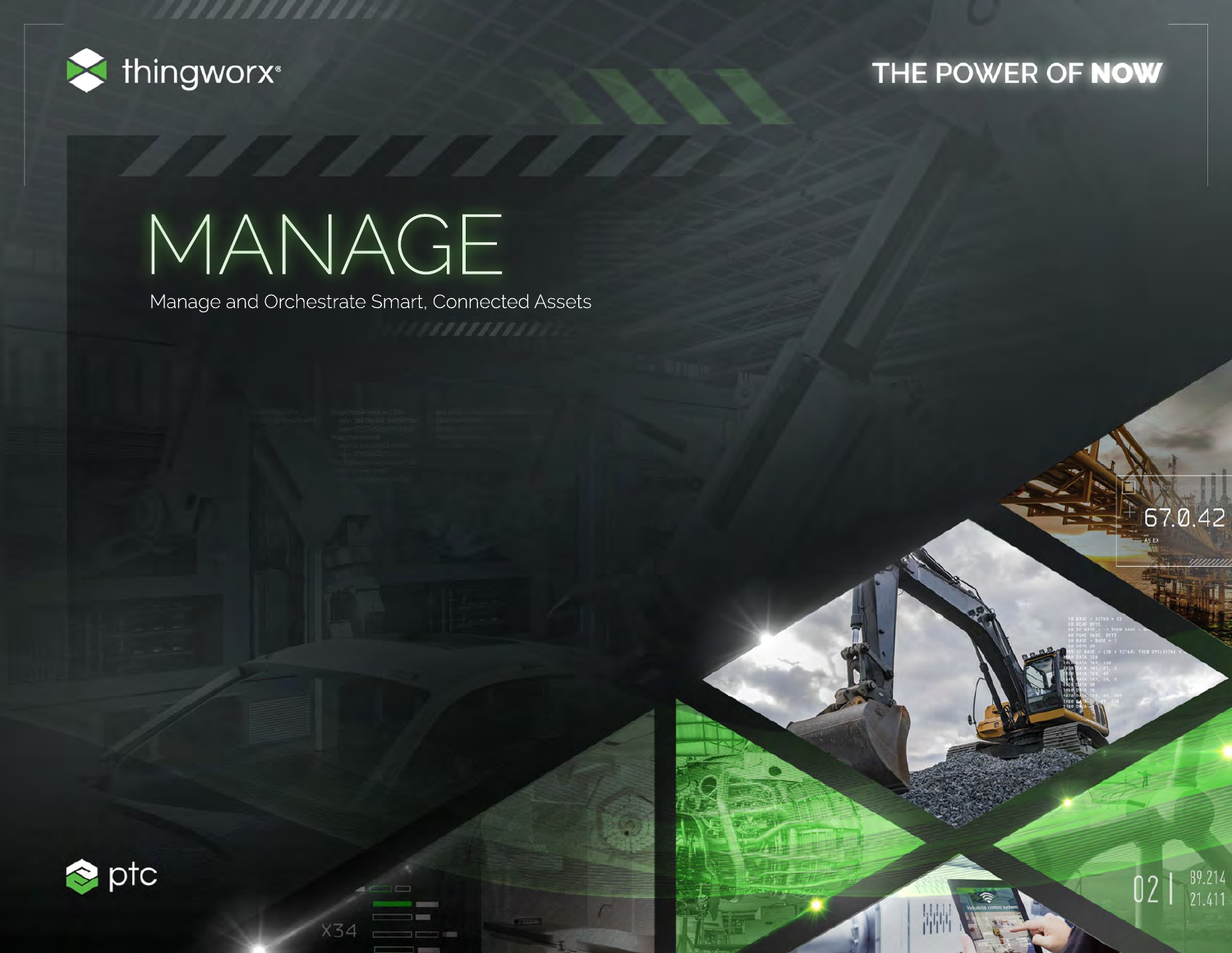

## THE POWER OF NOW

67.0.42

 $02$  |  $\frac{89.214}{21.411}$ 

# MANAGE

34

,,,,,,,,,,,,,,,

Manage and Orchestrate Smart, Connected Assets

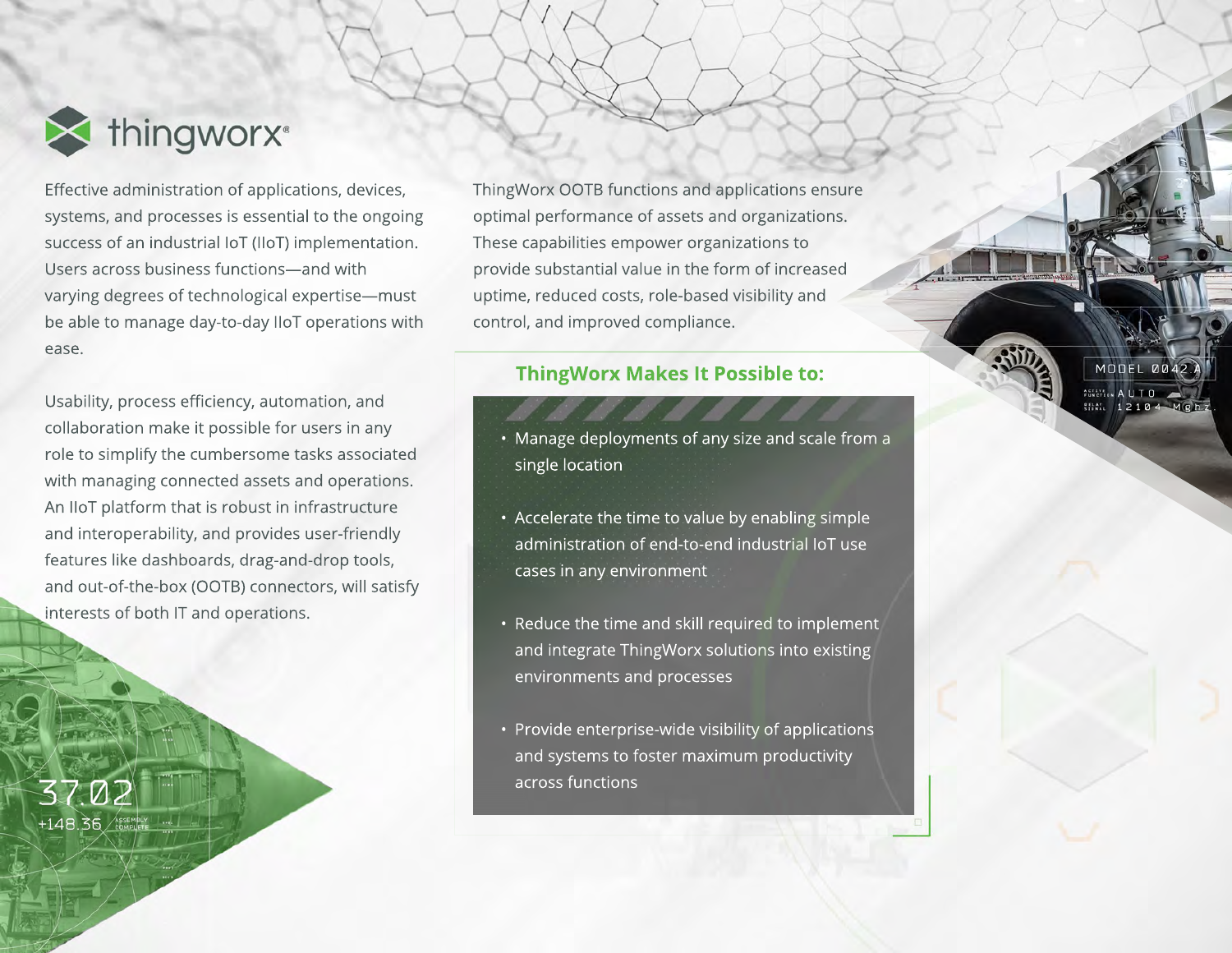

Effective administration of applications, devices, systems, and processes is essential to the ongoing success of an industrial IoT (IIoT) implementation. Users across business functions—and with varying degrees of technological expertise—must be able to manage day-to-day IIoT operations with ease.

Usability, process efficiency, automation, and collaboration make it possible for users in any role to simplify the cumbersome tasks associated with managing connected assets and operations. An IIoT platform that is robust in infrastructure and interoperability, and provides user-friendly features like dashboards, drag-and-drop tools, and out-of-the-box (OOTB) connectors, will satisfy interests of both IT and operations.

7 N A +148.36 ASSEMBLY | | ... ThingWorx OOTB functions and applications ensure optimal performance of assets and organizations. These capabilities empower organizations to provide substantial value in the form of increased uptime, reduced costs, role-based visibility and control, and improved compliance.

### **ThingWorx Makes It Possible to:**

- Manage deployments of any size and scale from a single location
- Accelerate the time to value by enabling simple administration of end-to-end industrial IoT use cases in any environment
- Reduce the time and skill required to implement and integrate ThingWorx solutions into existing environments and processes
- Provide enterprise-wide visibility of applications and systems to foster maximum productivity across functions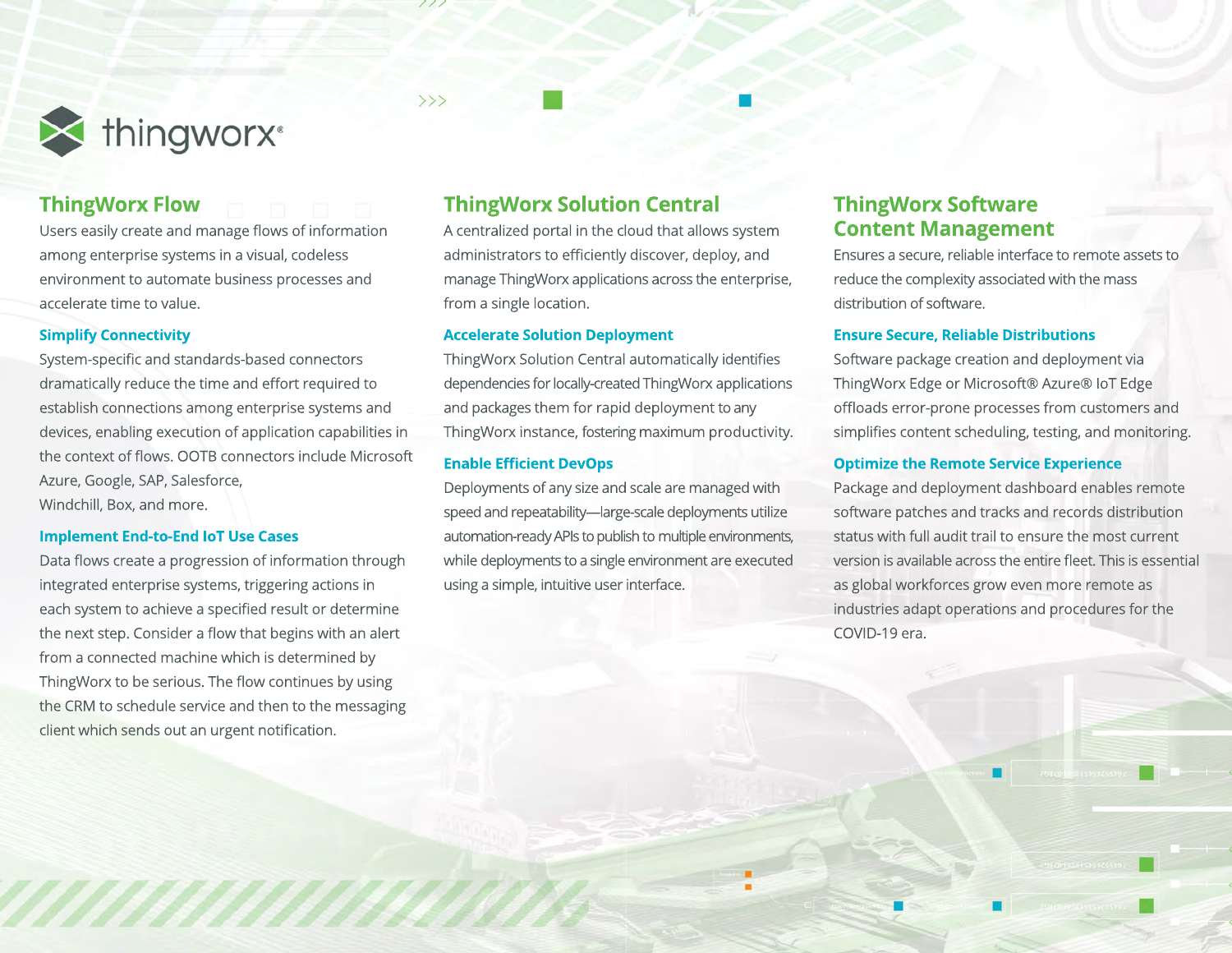

## **ThingWorx Flow**

Users easily create and manage flows of information among enterprise systems in a visual, codeless environment to automate business processes and accelerate time to value.

#### **Simplify Connectivity**

System-specific and standards-based connectors dramatically reduce the time and effort required to establish connections among enterprise systems and devices, enabling execution of application capabilities in the context of flows. OOTB connectors include Microsoft Azure, Google, SAP, Salesforce, Windchill, Box, and more.

#### **Implement End-to-End IoT Use Cases**

Data flows create a progression of information through integrated enterprise systems, triggering actions in each system to achieve a specified result or determine the next step. Consider a flow that begins with an alert from a connected machine which is determined by ThingWorx to be serious. The flow continues by using the CRM to schedule service and then to the messaging client which sends out an urgent notification.

a a mana mana

## **ThingWorx Solution Central**

 $>>$ 

A centralized portal in the cloud that allows system administrators to efficiently discover, deploy, and manage ThingWorx applications across the enterprise, from a single location.

#### **Accelerate Solution Deployment**

ThingWorx Solution Central automatically identifies dependencies for locally-created ThingWorx applications and packages them for rapid deployment to any ThingWorx instance, fostering maximum productivity.

#### **Enable Efficient DevOps**

Deployments of any size and scale are managed with speed and repeatability—large-scale deployments utilize automation-ready APIs to publish to multiple environments, while deployments to a single environment are executed using a simple, intuitive user interface.

## **ThingWorx Software Content Management**

Ensures a secure, reliable interface to remote assets to reduce the complexity associated with the mass distribution of software.

#### **Ensure Secure, Reliable Distributions**

Software package creation and deployment via ThingWorx Edge or Microsoft® Azure® IoT Edge offloads error-prone processes from customers and simplifies content scheduling, testing, and monitoring.

#### **Optimize the Remote Service Experience**

Package and deployment dashboard enables remote software patches and tracks and records distribution status with full audit trail to ensure the most current version is available across the entire fleet. This is essential as global workforces grow even more remote as industries adapt operations and procedures for the COVID-19 era.